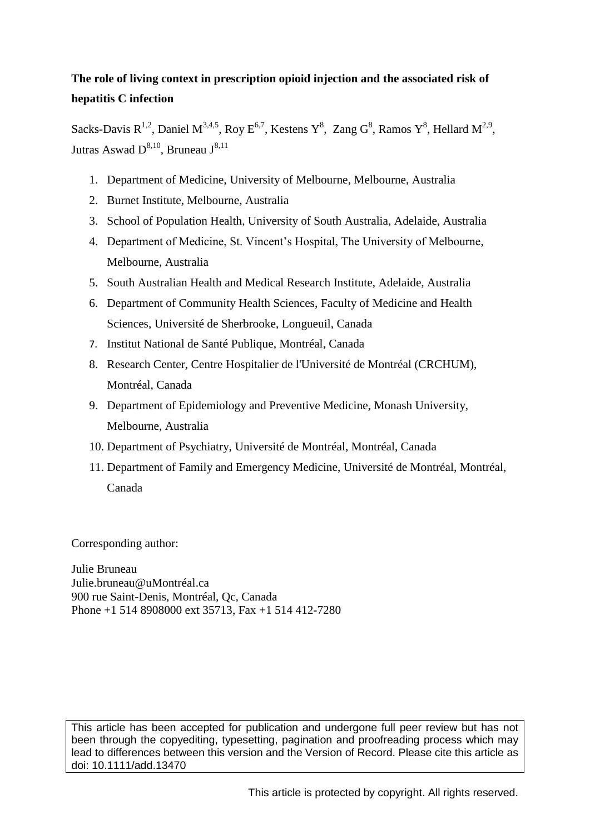# **The role of living context in prescription opioid injection and the associated risk of hepatitis C infection**

Sacks-Davis R<sup>1,2</sup>, Daniel M<sup>3,4,5</sup>, Roy E<sup>6,7</sup>, Kestens Y<sup>8</sup>, Zang G<sup>8</sup>, Ramos Y<sup>8</sup>, Hellard M<sup>2,9</sup>, Jutras Aswad  $D^{8,10}$ , Bruneau  $J^{8,11}$ 

- 1. Department of Medicine, University of Melbourne, Melbourne, Australia
- 2. Burnet Institute, Melbourne, Australia
- 3. School of Population Health, University of South Australia, Adelaide, Australia
- 4. Department of Medicine, St. Vincent's Hospital, The University of Melbourne, Melbourne, Australia
- 5. South Australian Health and Medical Research Institute, Adelaide, Australia
- 6. Department of Community Health Sciences, Faculty of Medicine and Health Sciences, Université de Sherbrooke, Longueuil, Canada
- 7. Institut National de Santé Publique, Montréal, Canada
- 8. Research Center, Centre Hospitalier de l'Université de Montréal (CRCHUM), Montréal, Canada
- 9. Department of Epidemiology and Preventive Medicine, Monash University, Melbourne, Australia
- 10. Department of Psychiatry, Université de Montréal, Montréal, Canada
- 11. Department of Family and Emergency Medicine, Université de Montréal, Montréal, Canada

Corresponding author:

Julie Bruneau Julie.bruneau@uMontréal.ca 900 rue Saint-Denis, Montréal, Qc, Canada Phone +1 514 8908000 ext 35713, Fax +1 514 412-7280

This article has been accepted for publication and undergone full peer review but has not been through the copyediting, typesetting, pagination and proofreading process which may lead to differences between this version and the Version of Record. Please cite this article as doi: 10.1111/add.13470

This article is protected by copyright. All rights reserved.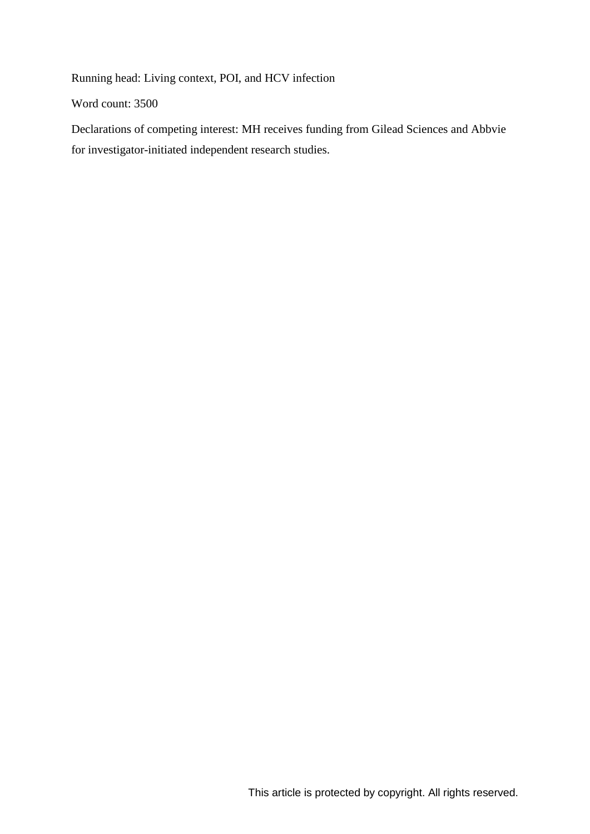Running head: Living context, POI, and HCV infection

Word count: 3500

Declarations of competing interest: MH receives funding from Gilead Sciences and Abbvie for investigator-initiated independent research studies.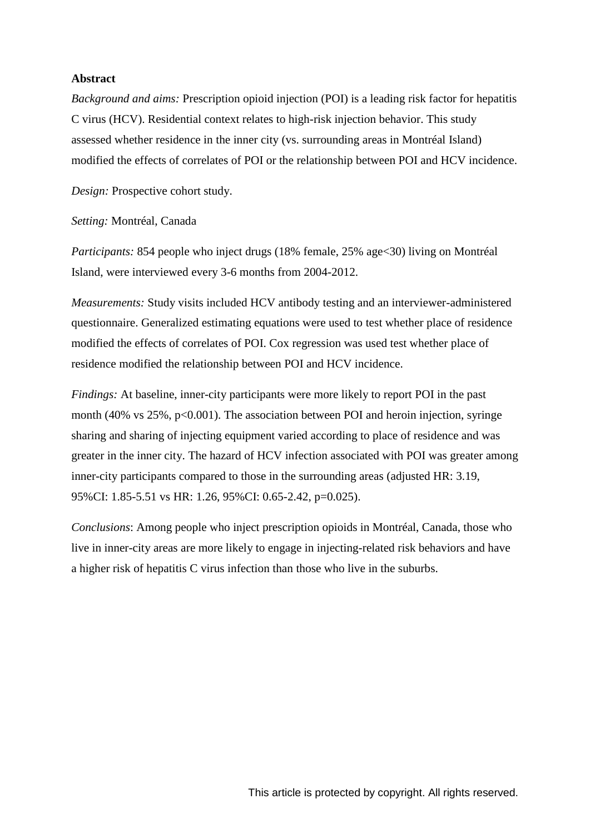### **Abstract**

*Background and aims:* Prescription opioid injection (POI) is a leading risk factor for hepatitis C virus (HCV). Residential context relates to high-risk injection behavior. This study assessed whether residence in the inner city (vs. surrounding areas in Montréal Island) modified the effects of correlates of POI or the relationship between POI and HCV incidence.

*Design:* Prospective cohort study.

*Setting:* Montréal, Canada

*Participants:* 854 people who inject drugs (18% female, 25% age < 30) living on Montréal Island, were interviewed every 3-6 months from 2004-2012.

*Measurements:* Study visits included HCV antibody testing and an interviewer-administered questionnaire. Generalized estimating equations were used to test whether place of residence modified the effects of correlates of POI. Cox regression was used test whether place of residence modified the relationship between POI and HCV incidence.

*Findings:* At baseline, inner-city participants were more likely to report POI in the past month (40% vs  $25\%$ , p<0.001). The association between POI and heroin injection, syringe sharing and sharing of injecting equipment varied according to place of residence and was greater in the inner city. The hazard of HCV infection associated with POI was greater among inner-city participants compared to those in the surrounding areas (adjusted HR: 3.19, 95%CI: 1.85-5.51 vs HR: 1.26, 95%CI: 0.65-2.42, p=0.025).

*Conclusions*: Among people who inject prescription opioids in Montréal, Canada, those who live in inner-city areas are more likely to engage in injecting-related risk behaviors and have a higher risk of hepatitis C virus infection than those who live in the suburbs.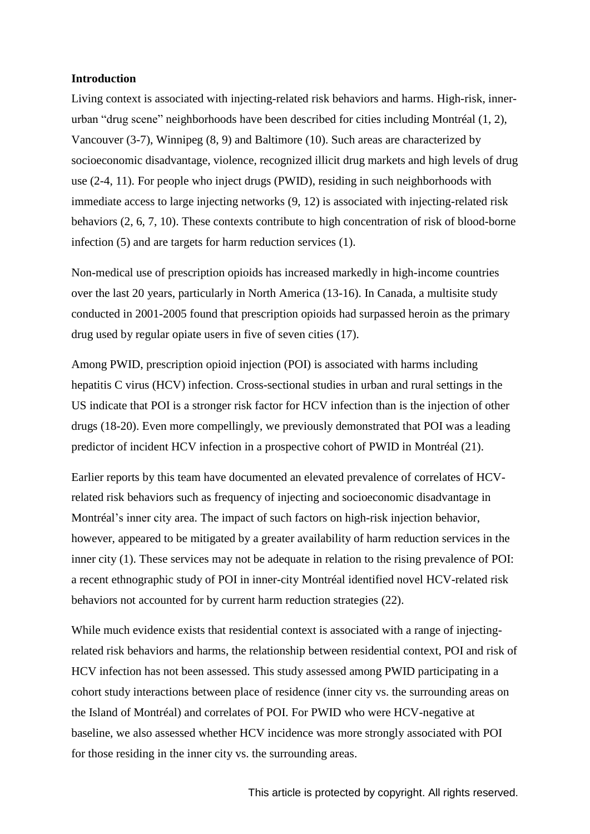### **Introduction**

Living context is associated with injecting-related risk behaviors and harms. High-risk, innerurban "drug scene" neighborhoods have been described for cities including Montréal [\(1,](#page-12-0) [2\)](#page-12-1), Vancouver [\(3-7\)](#page-12-2), Winnipeg [\(8,](#page-12-3) [9\)](#page-12-4) and Baltimore [\(10\)](#page-12-5). Such areas are characterized by socioeconomic disadvantage, violence, recognized illicit drug markets and high levels of drug use [\(2-4,](#page-12-1) [11\)](#page-12-6). For people who inject drugs (PWID), residing in such neighborhoods with immediate access to large injecting networks [\(9,](#page-12-4) [12\)](#page-12-7) is associated with injecting-related risk behaviors [\(2,](#page-12-1) [6,](#page-12-8) [7,](#page-12-9) [10\)](#page-12-5). These contexts contribute to high concentration of risk of blood-borne infection [\(5\)](#page-12-10) and are targets for harm reduction services [\(1\)](#page-12-0).

Non-medical use of prescription opioids has increased markedly in high-income countries over the last 20 years, particularly in North America [\(13-16\)](#page-12-11). In Canada, a multisite study conducted in 2001-2005 found that prescription opioids had surpassed heroin as the primary drug used by regular opiate users in five of seven cities [\(17\)](#page-13-0).

Among PWID, prescription opioid injection (POI) is associated with harms including hepatitis C virus (HCV) infection. Cross-sectional studies in urban and rural settings in the US indicate that POI is a stronger risk factor for HCV infection than is the injection of other drugs [\(18-20\)](#page-13-1). Even more compellingly, we previously demonstrated that POI was a leading predictor of incident HCV infection in a prospective cohort of PWID in Montréal [\(21\)](#page-13-2).

Earlier reports by this team have documented an elevated prevalence of correlates of HCVrelated risk behaviors such as frequency of injecting and socioeconomic disadvantage in Montréal's inner city area. The impact of such factors on high-risk injection behavior, however, appeared to be mitigated by a greater availability of harm reduction services in the inner city [\(1\)](#page-12-0). These services may not be adequate in relation to the rising prevalence of POI: a recent ethnographic study of POI in inner-city Montréal identified novel HCV-related risk behaviors not accounted for by current harm reduction strategies [\(22\)](#page-13-3).

While much evidence exists that residential context is associated with a range of injectingrelated risk behaviors and harms, the relationship between residential context, POI and risk of HCV infection has not been assessed. This study assessed among PWID participating in a cohort study interactions between place of residence (inner city vs. the surrounding areas on the Island of Montréal) and correlates of POI. For PWID who were HCV-negative at baseline, we also assessed whether HCV incidence was more strongly associated with POI for those residing in the inner city vs. the surrounding areas.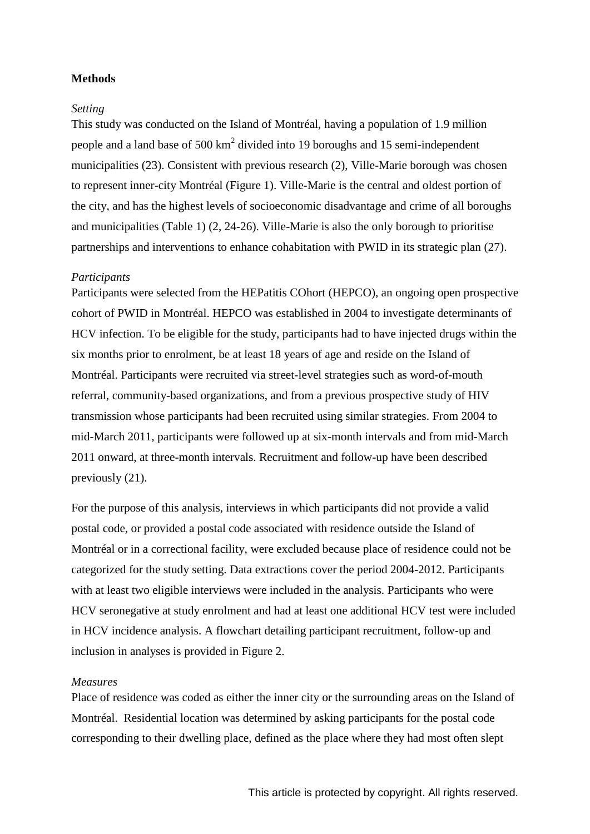### **Methods**

#### *Setting*

This study was conducted on the Island of Montréal, having a population of 1.9 million people and a land base of  $500 \text{ km}^2$  divided into 19 boroughs and 15 semi-independent municipalities [\(23\)](#page-13-4). Consistent with previous research [\(2\)](#page-12-1), Ville-Marie borough was chosen to represent inner-city Montréal (Figure 1). Ville-Marie is the central and oldest portion of the city, and has the highest levels of socioeconomic disadvantage and crime of all boroughs and municipalities (Table 1) [\(2,](#page-12-1) [24-26\)](#page-13-5). Ville-Marie is also the only borough to prioritise partnerships and interventions to enhance cohabitation with PWID in its strategic plan [\(27\)](#page-13-6).

### *Participants*

Participants were selected from the HEPatitis COhort (HEPCO), an ongoing open prospective cohort of PWID in Montréal. HEPCO was established in 2004 to investigate determinants of HCV infection. To be eligible for the study, participants had to have injected drugs within the six months prior to enrolment, be at least 18 years of age and reside on the Island of Montréal. Participants were recruited via street-level strategies such as word-of-mouth referral, community-based organizations, and from a previous prospective study of HIV transmission whose participants had been recruited using similar strategies. From 2004 to mid-March 2011, participants were followed up at six-month intervals and from mid-March 2011 onward, at three-month intervals. Recruitment and follow-up have been described previously [\(21\)](#page-13-2).

For the purpose of this analysis, interviews in which participants did not provide a valid postal code, or provided a postal code associated with residence outside the Island of Montréal or in a correctional facility, were excluded because place of residence could not be categorized for the study setting. Data extractions cover the period 2004-2012. Participants with at least two eligible interviews were included in the analysis. Participants who were HCV seronegative at study enrolment and had at least one additional HCV test were included in HCV incidence analysis. A flowchart detailing participant recruitment, follow-up and inclusion in analyses is provided in Figure 2.

#### *Measures*

Place of residence was coded as either the inner city or the surrounding areas on the Island of Montréal. Residential location was determined by asking participants for the postal code corresponding to their dwelling place, defined as the place where they had most often slept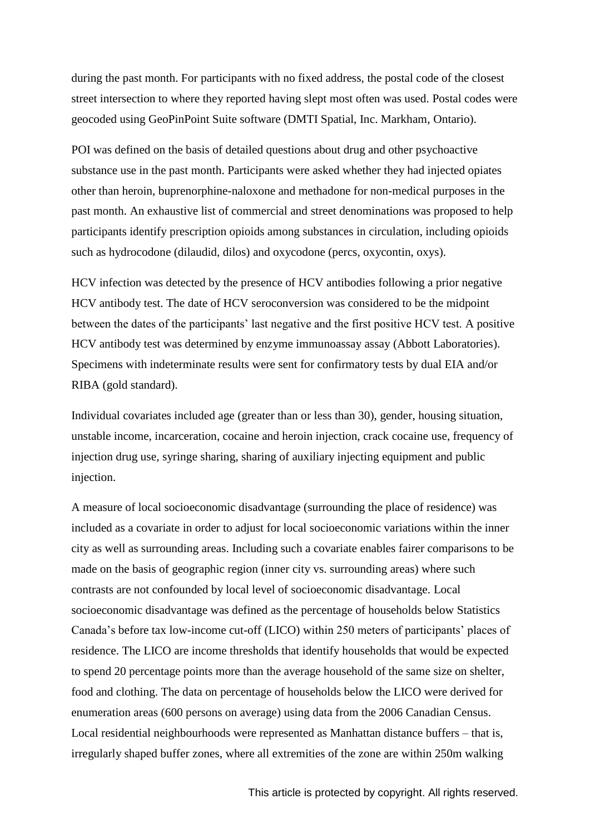during the past month. For participants with no fixed address, the postal code of the closest street intersection to where they reported having slept most often was used. Postal codes were geocoded using GeoPinPoint Suite software (DMTI Spatial, Inc. Markham, Ontario).

POI was defined on the basis of detailed questions about drug and other psychoactive substance use in the past month. Participants were asked whether they had injected opiates other than heroin, buprenorphine-naloxone and methadone for non-medical purposes in the past month. An exhaustive list of commercial and street denominations was proposed to help participants identify prescription opioids among substances in circulation, including opioids such as hydrocodone (dilaudid, dilos) and oxycodone (percs, oxycontin, oxys).

HCV infection was detected by the presence of HCV antibodies following a prior negative HCV antibody test. The date of HCV seroconversion was considered to be the midpoint between the dates of the participants' last negative and the first positive HCV test. A positive HCV antibody test was determined by enzyme immunoassay assay (Abbott Laboratories). Specimens with indeterminate results were sent for confirmatory tests by dual EIA and/or RIBA (gold standard).

Individual covariates included age (greater than or less than 30), gender, housing situation, unstable income, incarceration, cocaine and heroin injection, crack cocaine use, frequency of injection drug use, syringe sharing, sharing of auxiliary injecting equipment and public injection.

A measure of local socioeconomic disadvantage (surrounding the place of residence) was included as a covariate in order to adjust for local socioeconomic variations within the inner city as well as surrounding areas. Including such a covariate enables fairer comparisons to be made on the basis of geographic region (inner city vs. surrounding areas) where such contrasts are not confounded by local level of socioeconomic disadvantage. Local socioeconomic disadvantage was defined as the percentage of households below Statistics Canada's before tax low-income cut-off (LICO) within 250 meters of participants' places of residence. The LICO are income thresholds that identify households that would be expected to spend 20 percentage points more than the average household of the same size on shelter, food and clothing. The data on percentage of households below the LICO were derived for enumeration areas (600 persons on average) using data from the 2006 Canadian Census. Local residential neighbourhoods were represented as Manhattan distance buffers – that is, irregularly shaped buffer zones, where all extremities of the zone are within 250m walking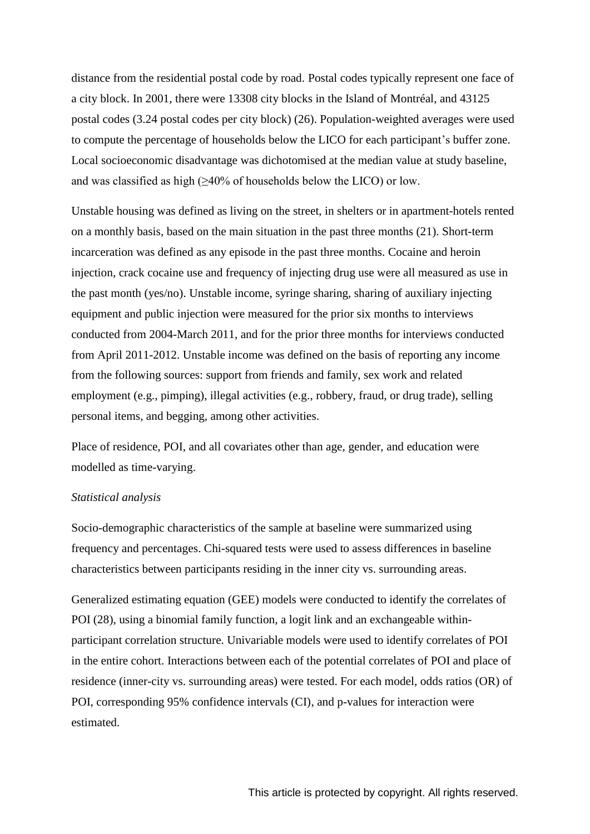distance from the residential postal code by road. Postal codes typically represent one face of a city block. In 2001, there were 13308 city blocks in the Island of Montréal, and 43125 postal codes (3.24 postal codes per city block) [\(26\)](#page-13-7). Population-weighted averages were used to compute the percentage of households below the LICO for each participant's buffer zone. Local socioeconomic disadvantage was dichotomised at the median value at study baseline, and was classified as high  $(\geq 40\%$  of households below the LICO) or low.

Unstable housing was defined as living on the street, in shelters or in apartment-hotels rented on a monthly basis, based on the main situation in the past three months [\(21\)](#page-13-2). Short-term incarceration was defined as any episode in the past three months. Cocaine and heroin injection, crack cocaine use and frequency of injecting drug use were all measured as use in the past month (yes/no). Unstable income, syringe sharing, sharing of auxiliary injecting equipment and public injection were measured for the prior six months to interviews conducted from 2004-March 2011, and for the prior three months for interviews conducted from April 2011-2012. Unstable income was defined on the basis of reporting any income from the following sources: support from friends and family, sex work and related employment (e.g., pimping), illegal activities (e.g., robbery, fraud, or drug trade), selling personal items, and begging, among other activities.

Place of residence, POI, and all covariates other than age, gender, and education were modelled as time-varying.

#### *Statistical analysis*

Socio-demographic characteristics of the sample at baseline were summarized using frequency and percentages. Chi-squared tests were used to assess differences in baseline characteristics between participants residing in the inner city vs. surrounding areas.

Generalized estimating equation (GEE) models were conducted to identify the correlates of POI [\(28\)](#page-13-8), using a binomial family function, a logit link and an exchangeable withinparticipant correlation structure. Univariable models were used to identify correlates of POI in the entire cohort. Interactions between each of the potential correlates of POI and place of residence (inner-city vs. surrounding areas) were tested. For each model, odds ratios (OR) of POI, corresponding 95% confidence intervals (CI), and p-values for interaction were estimated.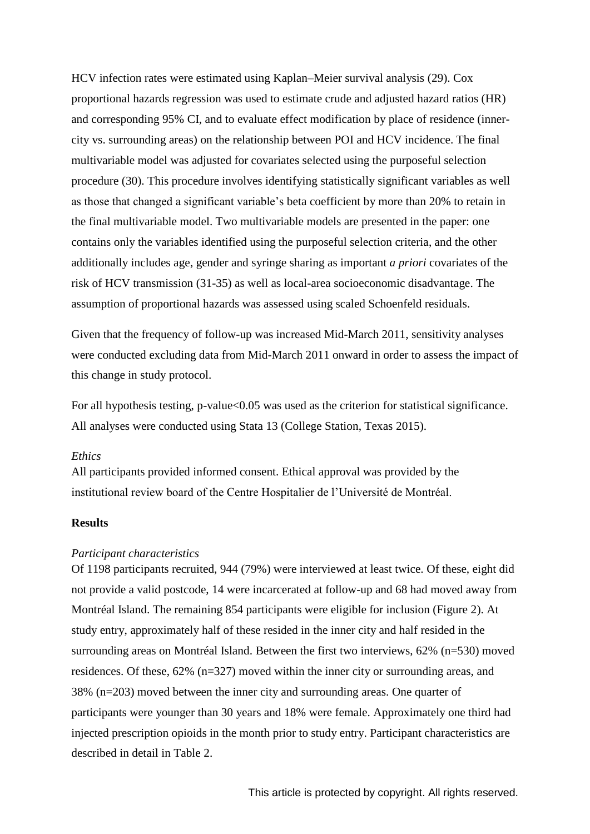HCV infection rates were estimated using Kaplan–Meier survival analysis [\(29\)](#page-13-9). Cox proportional hazards regression was used to estimate crude and adjusted hazard ratios (HR) and corresponding 95% CI, and to evaluate effect modification by place of residence (innercity vs. surrounding areas) on the relationship between POI and HCV incidence. The final multivariable model was adjusted for covariates selected using the purposeful selection procedure [\(30\)](#page-13-10). This procedure involves identifying statistically significant variables as well as those that changed a significant variable's beta coefficient by more than 20% to retain in the final multivariable model. Two multivariable models are presented in the paper: one contains only the variables identified using the purposeful selection criteria, and the other additionally includes age, gender and syringe sharing as important *a priori* covariates of the risk of HCV transmission [\(31-35\)](#page-13-11) as well as local-area socioeconomic disadvantage. The assumption of proportional hazards was assessed using scaled Schoenfeld residuals.

Given that the frequency of follow-up was increased Mid-March 2011, sensitivity analyses were conducted excluding data from Mid-March 2011 onward in order to assess the impact of this change in study protocol.

For all hypothesis testing, p-value<0.05 was used as the criterion for statistical significance. All analyses were conducted using Stata 13 (College Station, Texas 2015).

### *Ethics*

All participants provided informed consent. Ethical approval was provided by the institutional review board of the Centre Hospitalier de l'Université de Montréal.

### **Results**

### *Participant characteristics*

Of 1198 participants recruited, 944 (79%) were interviewed at least twice. Of these, eight did not provide a valid postcode, 14 were incarcerated at follow-up and 68 had moved away from Montréal Island. The remaining 854 participants were eligible for inclusion (Figure 2). At study entry, approximately half of these resided in the inner city and half resided in the surrounding areas on Montréal Island. Between the first two interviews, 62% (n=530) moved residences. Of these, 62% (n=327) moved within the inner city or surrounding areas, and 38% (n=203) moved between the inner city and surrounding areas. One quarter of participants were younger than 30 years and 18% were female. Approximately one third had injected prescription opioids in the month prior to study entry. Participant characteristics are described in detail in Table 2.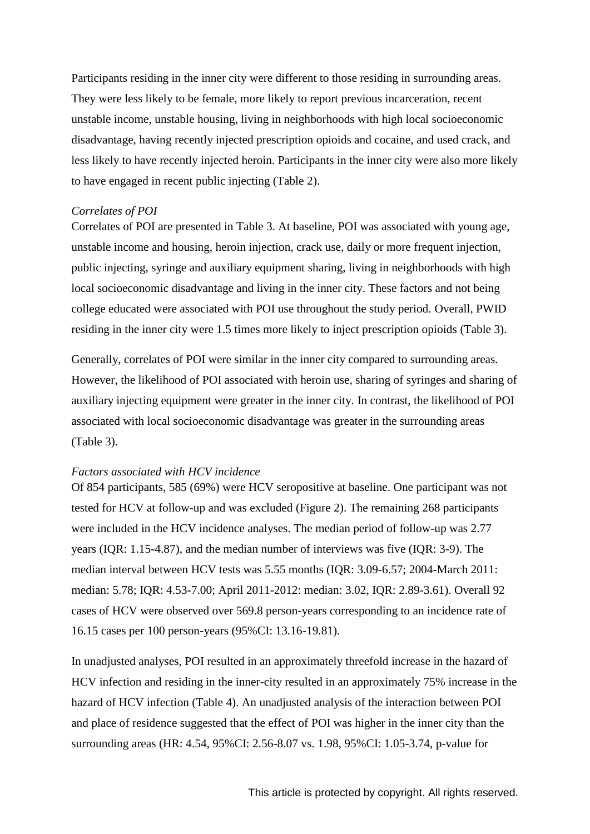Participants residing in the inner city were different to those residing in surrounding areas. They were less likely to be female, more likely to report previous incarceration, recent unstable income, unstable housing, living in neighborhoods with high local socioeconomic disadvantage, having recently injected prescription opioids and cocaine, and used crack, and less likely to have recently injected heroin. Participants in the inner city were also more likely to have engaged in recent public injecting (Table 2).

#### *Correlates of POI*

Correlates of POI are presented in Table 3. At baseline, POI was associated with young age, unstable income and housing, heroin injection, crack use, daily or more frequent injection, public injecting, syringe and auxiliary equipment sharing, living in neighborhoods with high local socioeconomic disadvantage and living in the inner city. These factors and not being college educated were associated with POI use throughout the study period. Overall, PWID residing in the inner city were 1.5 times more likely to inject prescription opioids (Table 3).

Generally, correlates of POI were similar in the inner city compared to surrounding areas. However, the likelihood of POI associated with heroin use, sharing of syringes and sharing of auxiliary injecting equipment were greater in the inner city. In contrast, the likelihood of POI associated with local socioeconomic disadvantage was greater in the surrounding areas (Table 3).

### *Factors associated with HCV incidence*

Of 854 participants, 585 (69%) were HCV seropositive at baseline. One participant was not tested for HCV at follow-up and was excluded (Figure 2). The remaining 268 participants were included in the HCV incidence analyses. The median period of follow-up was 2.77 years (IQR: 1.15-4.87), and the median number of interviews was five (IQR: 3-9). The median interval between HCV tests was 5.55 months (IQR: 3.09-6.57; 2004-March 2011: median: 5.78; IQR: 4.53-7.00; April 2011-2012: median: 3.02, IQR: 2.89-3.61). Overall 92 cases of HCV were observed over 569.8 person-years corresponding to an incidence rate of 16.15 cases per 100 person-years (95%CI: 13.16-19.81).

In unadjusted analyses, POI resulted in an approximately threefold increase in the hazard of HCV infection and residing in the inner-city resulted in an approximately 75% increase in the hazard of HCV infection (Table 4). An unadjusted analysis of the interaction between POI and place of residence suggested that the effect of POI was higher in the inner city than the surrounding areas (HR: 4.54, 95%CI: 2.56-8.07 vs. 1.98, 95%CI: 1.05-3.74, p-value for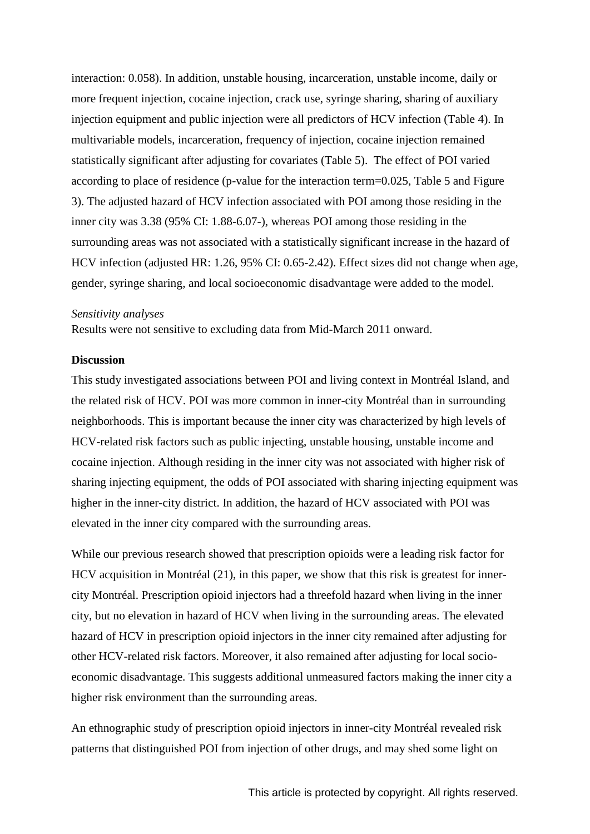interaction: 0.058). In addition, unstable housing, incarceration, unstable income, daily or more frequent injection, cocaine injection, crack use, syringe sharing, sharing of auxiliary injection equipment and public injection were all predictors of HCV infection (Table 4). In multivariable models, incarceration, frequency of injection, cocaine injection remained statistically significant after adjusting for covariates (Table 5). The effect of POI varied according to place of residence (p-value for the interaction term=0.025, Table 5 and Figure 3). The adjusted hazard of HCV infection associated with POI among those residing in the inner city was 3.38 (95% CI: 1.88-6.07-), whereas POI among those residing in the surrounding areas was not associated with a statistically significant increase in the hazard of HCV infection (adjusted HR: 1.26, 95% CI: 0.65-2.42). Effect sizes did not change when age, gender, syringe sharing, and local socioeconomic disadvantage were added to the model.

#### *Sensitivity analyses*

Results were not sensitive to excluding data from Mid-March 2011 onward.

#### **Discussion**

This study investigated associations between POI and living context in Montréal Island, and the related risk of HCV. POI was more common in inner-city Montréal than in surrounding neighborhoods. This is important because the inner city was characterized by high levels of HCV-related risk factors such as public injecting, unstable housing, unstable income and cocaine injection. Although residing in the inner city was not associated with higher risk of sharing injecting equipment, the odds of POI associated with sharing injecting equipment was higher in the inner-city district. In addition, the hazard of HCV associated with POI was elevated in the inner city compared with the surrounding areas.

While our previous research showed that prescription opioids were a leading risk factor for HCV acquisition in Montréal [\(21\)](#page-13-2), in this paper, we show that this risk is greatest for innercity Montréal. Prescription opioid injectors had a threefold hazard when living in the inner city, but no elevation in hazard of HCV when living in the surrounding areas. The elevated hazard of HCV in prescription opioid injectors in the inner city remained after adjusting for other HCV-related risk factors. Moreover, it also remained after adjusting for local socioeconomic disadvantage. This suggests additional unmeasured factors making the inner city a higher risk environment than the surrounding areas.

An ethnographic study of prescription opioid injectors in inner-city Montréal revealed risk patterns that distinguished POI from injection of other drugs, and may shed some light on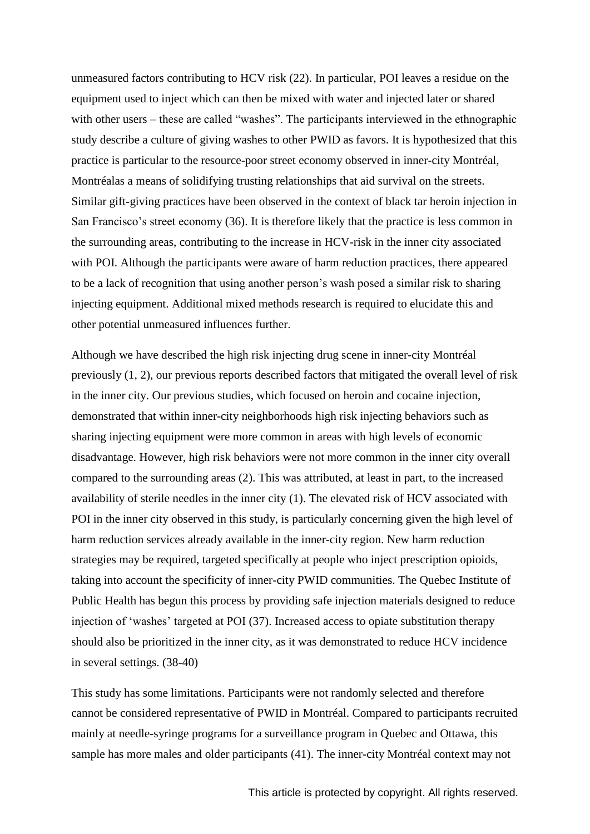unmeasured factors contributing to HCV risk [\(22\)](#page-13-3). In particular, POI leaves a residue on the equipment used to inject which can then be mixed with water and injected later or shared with other users – these are called "washes". The participants interviewed in the ethnographic study describe a culture of giving washes to other PWID as favors. It is hypothesized that this practice is particular to the resource-poor street economy observed in inner-city Montréal, Montréalas a means of solidifying trusting relationships that aid survival on the streets. Similar gift-giving practices have been observed in the context of black tar heroin injection in San Francisco's street economy [\(36\)](#page-14-0). It is therefore likely that the practice is less common in the surrounding areas, contributing to the increase in HCV-risk in the inner city associated with POI. Although the participants were aware of harm reduction practices, there appeared to be a lack of recognition that using another person's wash posed a similar risk to sharing injecting equipment. Additional mixed methods research is required to elucidate this and other potential unmeasured influences further.

Although we have described the high risk injecting drug scene in inner-city Montréal previously [\(1,](#page-12-0) [2\)](#page-12-1), our previous reports described factors that mitigated the overall level of risk in the inner city. Our previous studies, which focused on heroin and cocaine injection, demonstrated that within inner-city neighborhoods high risk injecting behaviors such as sharing injecting equipment were more common in areas with high levels of economic disadvantage. However, high risk behaviors were not more common in the inner city overall compared to the surrounding areas [\(2\)](#page-12-1). This was attributed, at least in part, to the increased availability of sterile needles in the inner city [\(1\)](#page-12-0). The elevated risk of HCV associated with POI in the inner city observed in this study, is particularly concerning given the high level of harm reduction services already available in the inner-city region. New harm reduction strategies may be required, targeted specifically at people who inject prescription opioids, taking into account the specificity of inner-city PWID communities. The Quebec Institute of Public Health has begun this process by providing safe injection materials designed to reduce injection of 'washes' targeted at POI [\(37\)](#page-14-1). Increased access to opiate substitution therapy should also be prioritized in the inner city, as it was demonstrated to reduce HCV incidence in several settings. [\(38-40\)](#page-14-2)

This study has some limitations. Participants were not randomly selected and therefore cannot be considered representative of PWID in Montréal. Compared to participants recruited mainly at needle-syringe programs for a surveillance program in Quebec and Ottawa, this sample has more males and older participants [\(41\)](#page-14-3). The inner-city Montréal context may not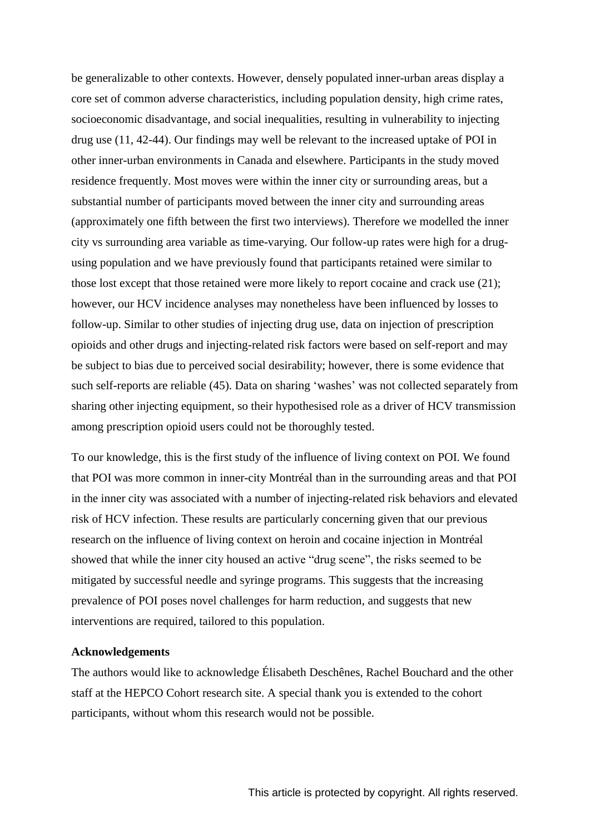be generalizable to other contexts. However, densely populated inner-urban areas display a core set of common adverse characteristics, including population density, high crime rates, socioeconomic disadvantage, and social inequalities, resulting in vulnerability to injecting drug use [\(11,](#page-12-6) [42-44\)](#page-14-4). Our findings may well be relevant to the increased uptake of POI in other inner-urban environments in Canada and elsewhere. Participants in the study moved residence frequently. Most moves were within the inner city or surrounding areas, but a substantial number of participants moved between the inner city and surrounding areas (approximately one fifth between the first two interviews). Therefore we modelled the inner city vs surrounding area variable as time-varying. Our follow-up rates were high for a drugusing population and we have previously found that participants retained were similar to those lost except that those retained were more likely to report cocaine and crack use [\(21\)](#page-13-2); however, our HCV incidence analyses may nonetheless have been influenced by losses to follow-up. Similar to other studies of injecting drug use, data on injection of prescription opioids and other drugs and injecting-related risk factors were based on self-report and may be subject to bias due to perceived social desirability; however, there is some evidence that such self-reports are reliable [\(45\)](#page-14-5). Data on sharing 'washes' was not collected separately from sharing other injecting equipment, so their hypothesised role as a driver of HCV transmission among prescription opioid users could not be thoroughly tested.

To our knowledge, this is the first study of the influence of living context on POI. We found that POI was more common in inner-city Montréal than in the surrounding areas and that POI in the inner city was associated with a number of injecting-related risk behaviors and elevated risk of HCV infection. These results are particularly concerning given that our previous research on the influence of living context on heroin and cocaine injection in Montréal showed that while the inner city housed an active "drug scene", the risks seemed to be mitigated by successful needle and syringe programs. This suggests that the increasing prevalence of POI poses novel challenges for harm reduction, and suggests that new interventions are required, tailored to this population.

### **Acknowledgements**

The authors would like to acknowledge Élisabeth Deschênes, Rachel Bouchard and the other staff at the HEPCO Cohort research site. A special thank you is extended to the cohort participants, without whom this research would not be possible.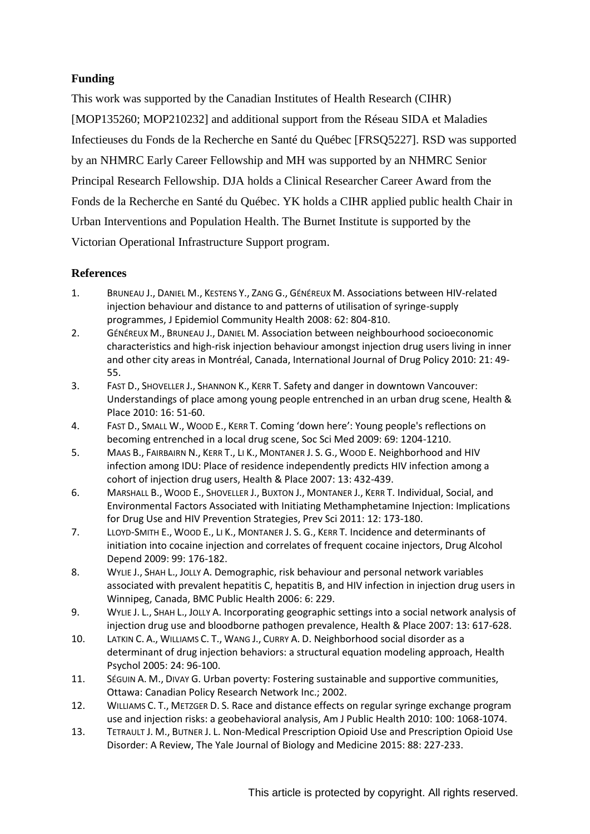# **Funding**

This work was supported by the Canadian Institutes of Health Research (CIHR) [MOP135260; MOP210232] and additional support from the Réseau SIDA et Maladies Infectieuses du Fonds de la Recherche en Santé du Québec [FRSQ5227]. RSD was supported by an NHMRC Early Career Fellowship and MH was supported by an NHMRC Senior Principal Research Fellowship. DJA holds a Clinical Researcher Career Award from the Fonds de la Recherche en Santé du Québec. YK holds a CIHR applied public health Chair in Urban Interventions and Population Health. The Burnet Institute is supported by the Victorian Operational Infrastructure Support program.

## **References**

- <span id="page-12-0"></span>1. BRUNEAU J., DANIEL M., KESTENS Y., ZANG G., GÉNÉREUX M. Associations between HIV-related injection behaviour and distance to and patterns of utilisation of syringe-supply programmes, J Epidemiol Community Health 2008: 62: 804-810.
- <span id="page-12-1"></span>2. GÉNÉREUX M., BRUNEAU J., DANIEL M. Association between neighbourhood socioeconomic characteristics and high-risk injection behaviour amongst injection drug users living in inner and other city areas in Montréal, Canada, International Journal of Drug Policy 2010: 21: 49- 55.
- <span id="page-12-2"></span>3. FAST D., SHOVELLER J., SHANNON K., KERR T. Safety and danger in downtown Vancouver: Understandings of place among young people entrenched in an urban drug scene, Health & Place 2010: 16: 51-60.
- 4. FAST D., SMALL W., WOOD E., KERR T. Coming 'down here': Young people's reflections on becoming entrenched in a local drug scene, Soc Sci Med 2009: 69: 1204-1210.
- <span id="page-12-10"></span>5. MAAS B., FAIRBAIRN N., KERR T., LI K., MONTANER J. S. G., WOOD E. Neighborhood and HIV infection among IDU: Place of residence independently predicts HIV infection among a cohort of injection drug users, Health & Place 2007: 13: 432-439.
- <span id="page-12-8"></span>6. MARSHALL B., WOOD E., SHOVELLER J., BUXTON J., MONTANER J., KERR T. Individual, Social, and Environmental Factors Associated with Initiating Methamphetamine Injection: Implications for Drug Use and HIV Prevention Strategies, Prev Sci 2011: 12: 173-180.
- <span id="page-12-9"></span>7. LLOYD-SMITH E., WOOD E., LI K., MONTANER J. S. G., KERR T. Incidence and determinants of initiation into cocaine injection and correlates of frequent cocaine injectors, Drug Alcohol Depend 2009: 99: 176-182.
- <span id="page-12-3"></span>8. WYLIE J., SHAH L., JOLLY A. Demographic, risk behaviour and personal network variables associated with prevalent hepatitis C, hepatitis B, and HIV infection in injection drug users in Winnipeg, Canada, BMC Public Health 2006: 6: 229.
- <span id="page-12-4"></span>9. WYLIE J. L., SHAH L., JOLLY A. Incorporating geographic settings into a social network analysis of injection drug use and bloodborne pathogen prevalence, Health & Place 2007: 13: 617-628.
- <span id="page-12-5"></span>10. LATKIN C. A., WILLIAMS C. T., WANG J., CURRY A. D. Neighborhood social disorder as a determinant of drug injection behaviors: a structural equation modeling approach, Health Psychol 2005: 24: 96-100.
- <span id="page-12-6"></span>11. SÉGUIN A. M., DIVAY G. Urban poverty: Fostering sustainable and supportive communities, Ottawa: Canadian Policy Research Network Inc.; 2002.
- <span id="page-12-7"></span>12. WILLIAMS C. T., METZGER D. S. Race and distance effects on regular syringe exchange program use and injection risks: a geobehavioral analysis, Am J Public Health 2010: 100: 1068-1074.
- <span id="page-12-11"></span>13. TETRAULT J. M., BUTNER J. L. Non-Medical Prescription Opioid Use and Prescription Opioid Use Disorder: A Review, The Yale Journal of Biology and Medicine 2015: 88: 227-233.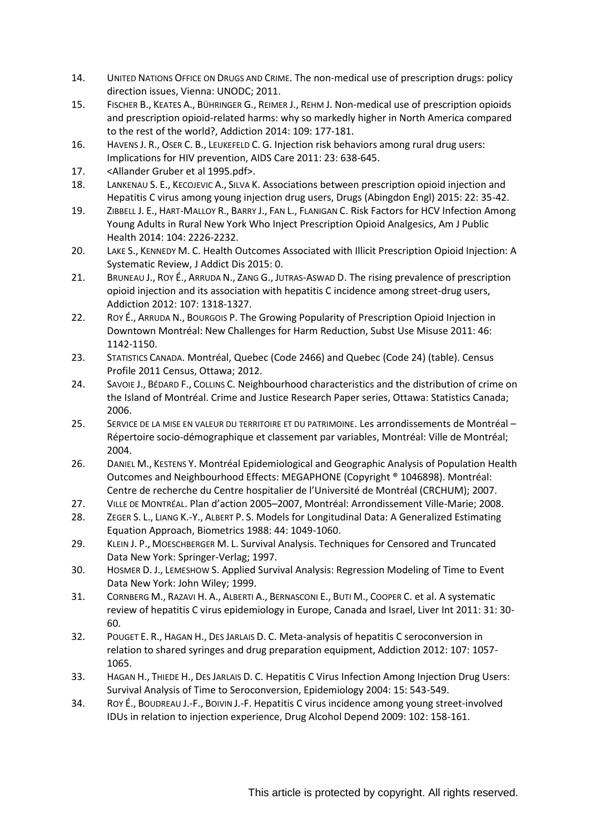- 14. UNITED NATIONS OFFICE ON DRUGS AND CRIME. The non-medical use of prescription drugs: policy direction issues, Vienna: UNODC; 2011.
- 15. FISCHER B., KEATES A., BÜHRINGER G., REIMER J., REHM J. Non-medical use of prescription opioids and prescription opioid-related harms: why so markedly higher in North America compared to the rest of the world?, Addiction 2014: 109: 177-181.
- 16. HAVENS J. R., OSER C. B., LEUKEFELD C. G. Injection risk behaviors among rural drug users: Implications for HIV prevention, AIDS Care 2011: 23: 638-645.
- <span id="page-13-0"></span>17. <Allander Gruber et al 1995.pdf>.
- <span id="page-13-1"></span>18. LANKENAU S. E., KECOJEVIC A., SILVA K. Associations between prescription opioid injection and Hepatitis C virus among young injection drug users, Drugs (Abingdon Engl) 2015: 22: 35-42.
- 19. ZIBBELL J. E., HART-MALLOY R., BARRY J., FAN L., FLANIGAN C. Risk Factors for HCV Infection Among Young Adults in Rural New York Who Inject Prescription Opioid Analgesics, Am J Public Health 2014: 104: 2226-2232.
- 20. LAKE S., KENNEDY M. C. Health Outcomes Associated with Illicit Prescription Opioid Injection: A Systematic Review, J Addict Dis 2015: 0.
- <span id="page-13-2"></span>21. BRUNEAU J., ROY É., ARRUDA N., ZANG G., JUTRAS-ASWAD D. The rising prevalence of prescription opioid injection and its association with hepatitis C incidence among street-drug users, Addiction 2012: 107: 1318-1327.
- <span id="page-13-3"></span>22. ROY É., ARRUDA N., BOURGOIS P. The Growing Popularity of Prescription Opioid Injection in Downtown Montréal: New Challenges for Harm Reduction, Subst Use Misuse 2011: 46: 1142-1150.
- <span id="page-13-4"></span>23. STATISTICS CANADA. Montréal, Quebec (Code 2466) and Quebec (Code 24) (table). Census Profile 2011 Census, Ottawa; 2012.
- <span id="page-13-5"></span>24. SAVOIE J., BÉDARD F., COLLINS C. Neighbourhood characteristics and the distribution of crime on the Island of Montréal. Crime and Justice Research Paper series, Ottawa: Statistics Canada; 2006.
- 25. SERVICE DE LA MISE EN VALEUR DU TERRITOIRE ET DU PATRIMOINE. Les arrondissements de Montréal -Répertoire socio-démographique et classement par variables, Montréal: Ville de Montréal; 2004.
- <span id="page-13-7"></span>26. DANIEL M., KESTENS Y. Montréal Epidemiological and Geographic Analysis of Population Health Outcomes and Neighbourhood Effects: MEGAPHONE (Copyright ® 1046898). Montréal: Centre de recherche du Centre hospitalier de l'Université de Montréal (CRCHUM); 2007.
- <span id="page-13-6"></span>27. VILLE DE MONTRÉAL. Plan d'action 2005–2007, Montréal: Arrondissement Ville-Marie; 2008.
- <span id="page-13-8"></span>28. ZEGER S. L., LIANG K.-Y., ALBERT P. S. Models for Longitudinal Data: A Generalized Estimating Equation Approach, Biometrics 1988: 44: 1049-1060.
- <span id="page-13-9"></span>29. KLEIN J. P., MOESCHBERGER M. L. Survival Analysis. Techniques for Censored and Truncated Data New York: Springer-Verlag; 1997.
- <span id="page-13-10"></span>30. HOSMER D. J., LEMESHOW S. Applied Survival Analysis: Regression Modeling of Time to Event Data New York: John Wiley; 1999.
- <span id="page-13-11"></span>31. CORNBERG M., RAZAVI H. A., ALBERTI A., BERNASCONI E., BUTI M., COOPER C. et al. A systematic review of hepatitis C virus epidemiology in Europe, Canada and Israel, Liver Int 2011: 31: 30- 60.
- 32. POUGET E. R., HAGAN H., DES JARLAIS D. C. Meta-analysis of hepatitis C seroconversion in relation to shared syringes and drug preparation equipment, Addiction 2012: 107: 1057- 1065.
- 33. HAGAN H., THIEDE H., DES JARLAIS D. C. Hepatitis C Virus Infection Among Injection Drug Users: Survival Analysis of Time to Seroconversion, Epidemiology 2004: 15: 543-549.
- 34. ROY É., BOUDREAU J.-F., BOIVIN J.-F. Hepatitis C virus incidence among young street-involved IDUs in relation to injection experience, Drug Alcohol Depend 2009: 102: 158-161.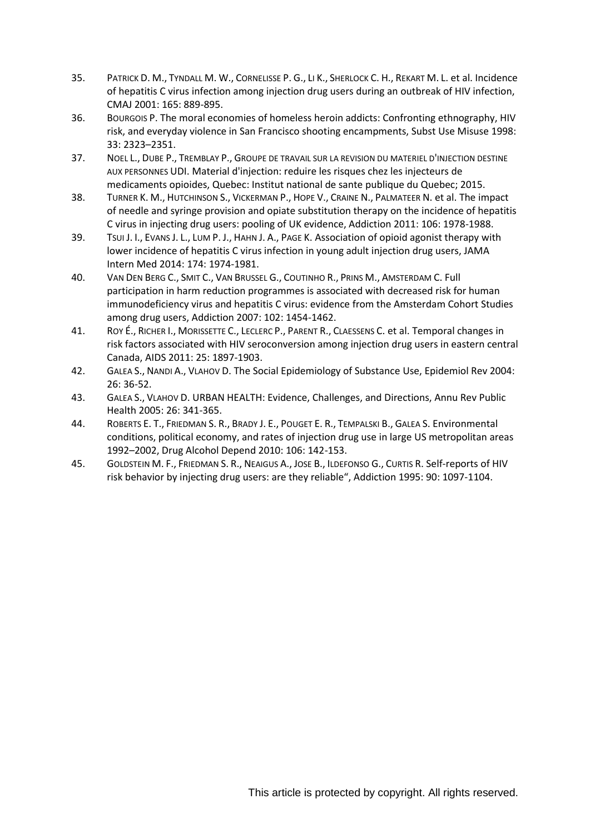- 35. PATRICK D. M., TYNDALL M. W., CORNELISSE P. G., LI K., SHERLOCK C. H., REKART M. L. et al. Incidence of hepatitis C virus infection among injection drug users during an outbreak of HIV infection, CMAJ 2001: 165: 889-895.
- <span id="page-14-0"></span>36. BOURGOIS P. The moral economies of homeless heroin addicts: Confronting ethnography, HIV risk, and everyday violence in San Francisco shooting encampments, Subst Use Misuse 1998: 33: 2323–2351.
- <span id="page-14-1"></span>37. NOEL L., DUBE P., TREMBLAY P., GROUPE DE TRAVAIL SUR LA REVISION DU MATERIEL D'INJECTION DESTINE AUX PERSONNES UDI. Material d'injection: reduire les risques chez les injecteurs de medicaments opioides, Quebec: Institut national de sante publique du Quebec; 2015.
- <span id="page-14-2"></span>38. TURNER K. M., HUTCHINSON S., VICKERMAN P., HOPE V., CRAINE N., PALMATEER N. et al. The impact of needle and syringe provision and opiate substitution therapy on the incidence of hepatitis C virus in injecting drug users: pooling of UK evidence, Addiction 2011: 106: 1978-1988.
- 39. TSUI J. I., EVANS J. L., LUM P. J., HAHN J. A., PAGE K. Association of opioid agonist therapy with lower incidence of hepatitis C virus infection in young adult injection drug users, JAMA Intern Med 2014: 174: 1974-1981.
- 40. VAN DEN BERG C., SMIT C., VAN BRUSSEL G., COUTINHO R., PRINS M., AMSTERDAM C. Full participation in harm reduction programmes is associated with decreased risk for human immunodeficiency virus and hepatitis C virus: evidence from the Amsterdam Cohort Studies among drug users, Addiction 2007: 102: 1454-1462.
- <span id="page-14-3"></span>41. ROY É., RICHER I., MORISSETTE C., LECLERC P., PARENT R., CLAESSENS C. et al. Temporal changes in risk factors associated with HIV seroconversion among injection drug users in eastern central Canada, AIDS 2011: 25: 1897-1903.
- <span id="page-14-4"></span>42. GALEA S., NANDI A., VLAHOV D. The Social Epidemiology of Substance Use, Epidemiol Rev 2004: 26: 36-52.
- 43. GALEA S., VLAHOV D. URBAN HEALTH: Evidence, Challenges, and Directions, Annu Rev Public Health 2005: 26: 341-365.
- 44. ROBERTS E. T., FRIEDMAN S. R., BRADY J. E., POUGET E. R., TEMPALSKI B., GALEA S. Environmental conditions, political economy, and rates of injection drug use in large US metropolitan areas 1992–2002, Drug Alcohol Depend 2010: 106: 142-153.
- <span id="page-14-5"></span>45. GOLDSTEIN M. F., FRIEDMAN S. R., NEAIGUS A., JOSE B., ILDEFONSO G., CURTIS R. Self-reports of HIV risk behavior by injecting drug users: are they reliable", Addiction 1995: 90: 1097-1104.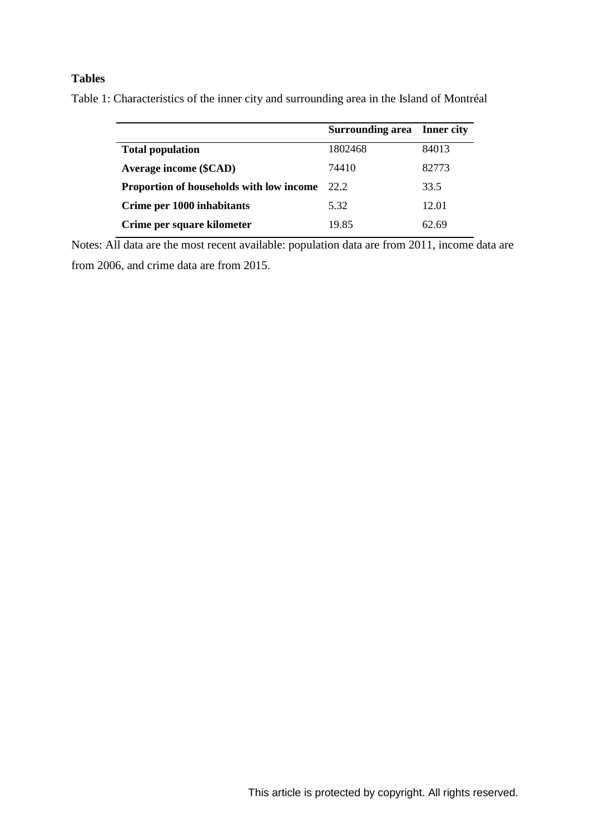# **Tables**

|                                          | <b>Surrounding area</b> Inner city |       |
|------------------------------------------|------------------------------------|-------|
| <b>Total population</b>                  | 1802468                            | 84013 |
| <b>Average income (\$CAD)</b>            | 74410                              | 82773 |
| Proportion of households with low income | 22.2                               | 33.5  |
| Crime per 1000 inhabitants               | 5.32                               | 12.01 |
| Crime per square kilometer               | 19.85                              | 62.69 |

Table 1: Characteristics of the inner city and surrounding area in the Island of Montréal

Notes: All data are the most recent available: population data are from 2011, income data are from 2006, and crime data are from 2015.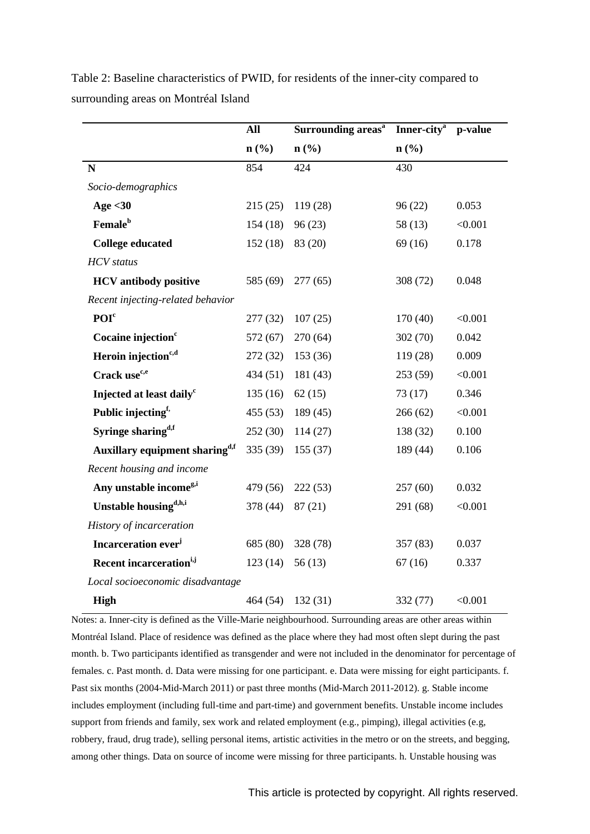Table 2: Baseline characteristics of PWID, for residents of the inner-city compared to surrounding areas on Montréal Island

|                                            | All                         | Surrounding areas <sup>a</sup> | Inner-city <sup>a</sup> | p-value |
|--------------------------------------------|-----------------------------|--------------------------------|-------------------------|---------|
|                                            | $n\left(\frac{0}{0}\right)$ | $n$ (%)                        | $n$ (%)                 |         |
| ${\bf N}$                                  | 854                         | 424                            | 430                     |         |
| Socio-demographics                         |                             |                                |                         |         |
| Age $<$ 30                                 | 215(25)                     | 119(28)                        | 96(22)                  | 0.053   |
| <b>Female</b> <sup>b</sup>                 | 154(18)                     | 96(23)                         | 58(13)                  | < 0.001 |
| <b>College educated</b>                    | 152(18)                     | 83 (20)                        | 69(16)                  | 0.178   |
| <b>HCV</b> status                          |                             |                                |                         |         |
| <b>HCV</b> antibody positive               | 585 (69)                    | 277(65)                        | 308 (72)                | 0.048   |
| Recent injecting-related behavior          |                             |                                |                         |         |
| POI <sup>c</sup>                           | 277 (32)                    | 107(25)                        | 170(40)                 | < 0.001 |
| Cocaine injection <sup>c</sup>             | 572 (67)                    | 270(64)                        | 302(70)                 | 0.042   |
| Heroin injection <sup>c,d</sup>            | 272 (32)                    | 153(36)                        | 119 (28)                | 0.009   |
| Crack use <sup>c,e</sup>                   | 434 (51)                    | 181(43)                        | 253(59)                 | < 0.001 |
| Injected at least daily <sup>c</sup>       | 135(16)                     | 62(15)                         | 73(17)                  | 0.346   |
| Public injecting <sup>f,</sup>             | 455(53)                     | 189(45)                        | 266(62)                 | < 0.001 |
| Syringe sharing <sup>d,f</sup>             | 252 (30)                    | 114(27)                        | 138 (32)                | 0.100   |
| Auxillary equipment sharing <sup>d,f</sup> | 335 (39)                    | 155(37)                        | 189 (44)                | 0.106   |
| Recent housing and income                  |                             |                                |                         |         |
| Any unstable income <sup>g,i</sup>         | 479 (56)                    | 222(53)                        | 257(60)                 | 0.032   |
| Unstable housing <sup>d,h,i</sup>          | 378 (44)                    | 87(21)                         | 291 (68)                | < 0.001 |
| History of incarceration                   |                             |                                |                         |         |
| Incarceration ever <sup>j</sup>            | 685 (80)                    | 328 (78)                       | 357(83)                 | 0.037   |
| Recent incarceration <sup>i,j</sup>        | 123(14)                     | 56(13)                         | 67(16)                  | 0.337   |
| Local socioeconomic disadvantage           |                             |                                |                         |         |
| <b>High</b>                                | 464 (54)                    | 132(31)                        | 332 (77)                | < 0.001 |

Notes: a. Inner-city is defined as the Ville-Marie neighbourhood. Surrounding areas are other areas within Montréal Island. Place of residence was defined as the place where they had most often slept during the past month. b. Two participants identified as transgender and were not included in the denominator for percentage of females. c. Past month. d. Data were missing for one participant. e. Data were missing for eight participants. f. Past six months (2004-Mid-March 2011) or past three months (Mid-March 2011-2012). g. Stable income includes employment (including full-time and part-time) and government benefits. Unstable income includes support from friends and family, sex work and related employment (e.g., pimping), illegal activities (e.g, robbery, fraud, drug trade), selling personal items, artistic activities in the metro or on the streets, and begging, among other things. Data on source of income were missing for three participants. h. Unstable housing was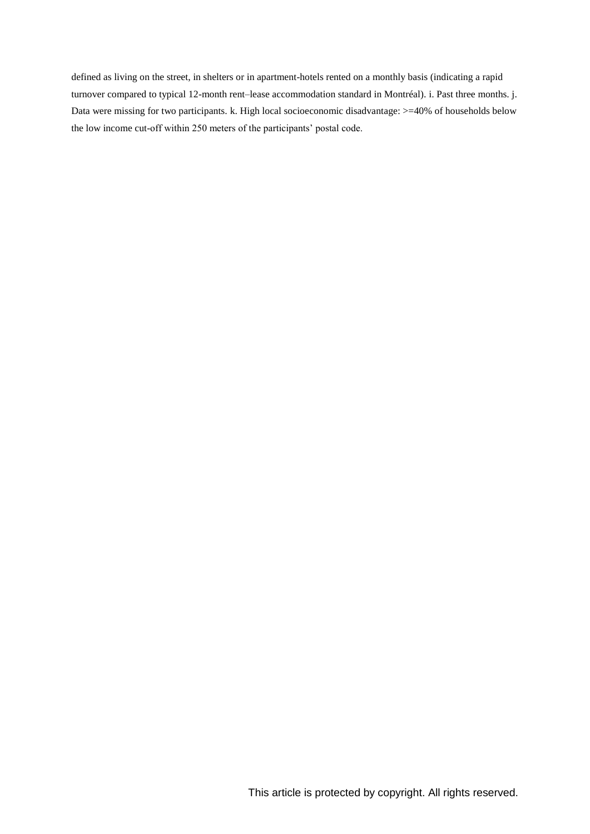defined as living on the street, in shelters or in apartment-hotels rented on a monthly basis (indicating a rapid turnover compared to typical 12-month rent–lease accommodation standard in Montréal). i. Past three months. j. Data were missing for two participants. k. High local socioeconomic disadvantage: >=40% of households below the low income cut-off within 250 meters of the participants' postal code.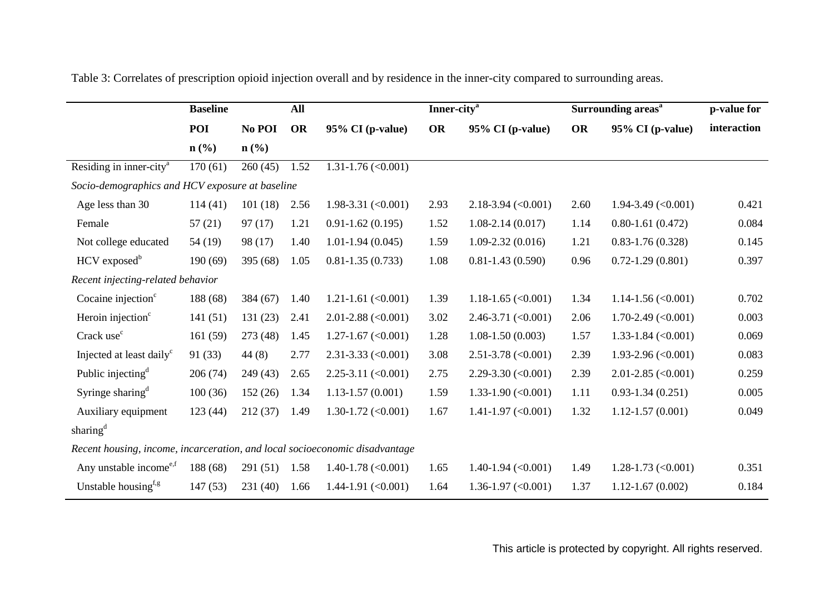|                                                                             | <b>Baseline</b> |          | <b>All</b> |                               | Inner-city <sup>a</sup> |                               |      | Surrounding areas <sup>a</sup> | p-value for |
|-----------------------------------------------------------------------------|-----------------|----------|------------|-------------------------------|-------------------------|-------------------------------|------|--------------------------------|-------------|
|                                                                             | POI             | No POI   | <b>OR</b>  | 95% CI (p-value)              | <b>OR</b>               | 95% CI (p-value)              | OR   | 95% CI (p-value)               | interaction |
|                                                                             | $n$ (%)         | $n$ (%)  |            |                               |                         |                               |      |                                |             |
| Residing in inner-city <sup>a</sup>                                         | 170(61)         | 260(45)  | 1.52       | $1.31 - 1.76 \, (\leq 0.001)$ |                         |                               |      |                                |             |
| Socio-demographics and HCV exposure at baseline                             |                 |          |            |                               |                         |                               |      |                                |             |
| Age less than 30                                                            | 114(41)         | 101(18)  | 2.56       | $1.98 - 3.31 \approx 0.001$   | 2.93                    | $2.18 - 3.94 \approx (0.001)$ | 2.60 | $1.94 - 3.49$ (<0.001)         | 0.421       |
| Female                                                                      | 57(21)          | 97(17)   | 1.21       | $0.91 - 1.62(0.195)$          | 1.52                    | $1.08 - 2.14(0.017)$          | 1.14 | $0.80 - 1.61(0.472)$           | 0.084       |
| Not college educated                                                        | 54 (19)         | 98 (17)  | 1.40       | $1.01 - 1.94(0.045)$          | 1.59                    | $1.09 - 2.32(0.016)$          | 1.21 | $0.83 - 1.76(0.328)$           | 0.145       |
| HCV exposed <sup>b</sup>                                                    | 190(69)         | 395 (68) | 1.05       | $0.81 - 1.35(0.733)$          | 1.08                    | $0.81 - 1.43(0.590)$          | 0.96 | $0.72 - 1.29(0.801)$           | 0.397       |
| Recent injecting-related behavior                                           |                 |          |            |                               |                         |                               |      |                                |             |
| Cocaine injection <sup>c</sup>                                              | 188 (68)        | 384 (67) | 1.40       | $1.21 - 1.61$ (<0.001)        | 1.39                    | $1.18 - 1.65 \approx 0.001$   | 1.34 | $1.14 - 1.56 \, (\leq 0.001)$  | 0.702       |
| Heroin injection <sup>c</sup>                                               | 141(51)         | 131(23)  | 2.41       | $2.01 - 2.88$ (<0.001)        | 3.02                    | $2.46 - 3.71$ (<0.001)        | 2.06 | $1.70 - 2.49$ (<0.001)         | 0.003       |
| Crack use <sup>c</sup>                                                      | 161(59)         | 273 (48) | 1.45       | $1.27 - 1.67 \; (\leq 0.001)$ | 1.28                    | $1.08 - 1.50(0.003)$          | 1.57 | $1.33 - 1.84$ (<0.001)         | 0.069       |
| Injected at least daily <sup>c</sup>                                        | 91(33)          | 44(8)    | 2.77       | $2.31 - 3.33 \approx (0.001)$ | 3.08                    | $2.51 - 3.78 \; (\leq 0.001)$ | 2.39 | $1.93 - 2.96 \approx 0.001$    | 0.083       |
| Public injecting <sup>d</sup>                                               | 206(74)         | 249(43)  | 2.65       | $2.25 - 3.11$ (<0.001)        | 2.75                    | $2.29 - 3.30 \, (\leq 0.001)$ | 2.39 | $2.01 - 2.85 \approx 0.001$    | 0.259       |
| Syringe sharing <sup>d</sup>                                                | 100(36)         | 152(26)  | 1.34       | $1.13 - 1.57(0.001)$          | 1.59                    | $1.33 - 1.90 \, (\leq 0.001)$ | 1.11 | $0.93 - 1.34(0.251)$           | 0.005       |
| Auxiliary equipment                                                         | 123(44)         | 212(37)  | 1.49       | $1.30 - 1.72 \, (\leq 0.001)$ | 1.67                    | $1.41 - 1.97 \approx 0.001$   | 1.32 | $1.12 - 1.57(0.001)$           | 0.049       |
| sharing <sup>d</sup>                                                        |                 |          |            |                               |                         |                               |      |                                |             |
| Recent housing, income, incarceration, and local socioeconomic disadvantage |                 |          |            |                               |                         |                               |      |                                |             |
| Any unstable income <sup>e,f</sup>                                          | 188 (68)        | 291(51)  | 1.58       | $1.40 - 1.78 \; (< 0.001)$    | 1.65                    | $1.40 - 1.94 \approx (0.001)$ | 1.49 | $1.28 - 1.73 \approx (0.001)$  | 0.351       |
| Unstable housing $f, g$                                                     | 147(53)         | 231(40)  | 1.66       | $1.44 - 1.91 \approx 0.001$   | 1.64                    | $1.36 - 1.97 \approx 0.001$   | 1.37 | $1.12 - 1.67(0.002)$           | 0.184       |

Table 3: Correlates of prescription opioid injection overall and by residence in the inner-city compared to surrounding areas.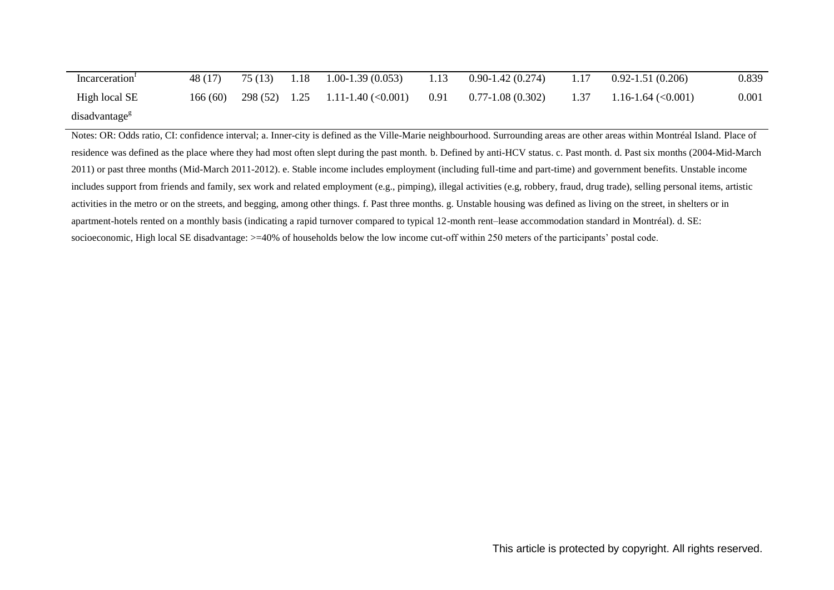| Incarceration             | 48 (17)  | 75 (13) | 1.18 | $1.00 - 1.39(0.053)$              | 1.13 | $0.90 - 1.42(0.274)$ |      | $0.92 - 1.51(0.206)$        | 0.839 |
|---------------------------|----------|---------|------|-----------------------------------|------|----------------------|------|-----------------------------|-------|
| High local SE             | 166 (60) |         |      | $298(52)$ 1.25 1.11-1.40 (<0.001) | 0.91 | $0.77 - 1.08(0.302)$ | 1.37 | $1.16 - 1.64 \approx 0.001$ | 0.001 |
| disadvantage <sup>g</sup> |          |         |      |                                   |      |                      |      |                             |       |

Notes: OR: Odds ratio, CI: confidence interval; a. Inner-city is defined as the Ville-Marie neighbourhood. Surrounding areas are other areas within Montréal Island. Place of residence was defined as the place where they had most often slept during the past month. b. Defined by anti-HCV status. c. Past month. d. Past six months (2004-Mid-March 2011) or past three months (Mid-March 2011-2012). e. Stable income includes employment (including full-time and part-time) and government benefits. Unstable income includes support from friends and family, sex work and related employment (e.g., pimping), illegal activities (e.g, robbery, fraud, drug trade), selling personal items, artistic activities in the metro or on the streets, and begging, among other things. f. Past three months. g. Unstable housing was defined as living on the street, in shelters or in apartment-hotels rented on a monthly basis (indicating a rapid turnover compared to typical 12-month rent–lease accommodation standard in Montréal). d. SE: socioeconomic, High local SE disadvantage:  $>=$  40% of households below the low income cut-off within 250 meters of the participants' postal code.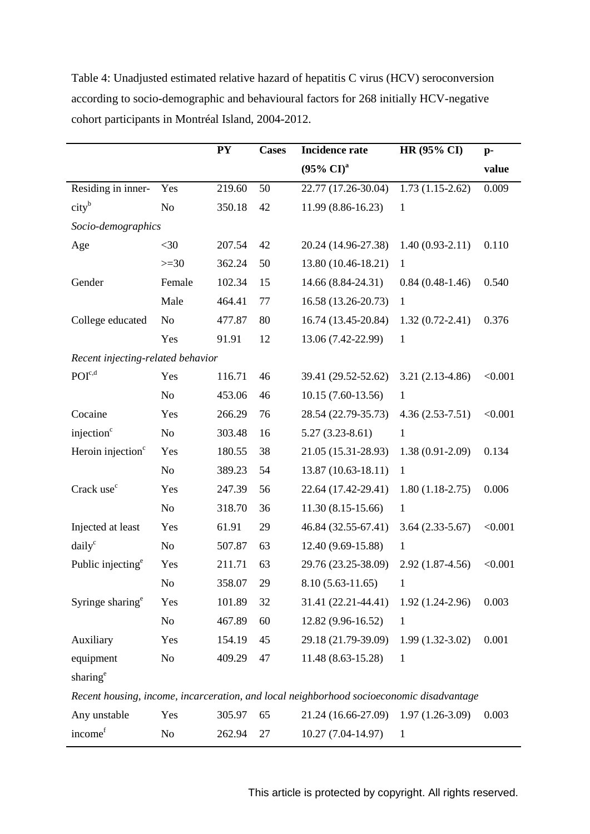Table 4: Unadjusted estimated relative hazard of hepatitis C virus (HCV) seroconversion according to socio-demographic and behavioural factors for 268 initially HCV-negative cohort participants in Montréal Island, 2004-2012.

|                                   |                | ${\bf P}{\bf Y}$ | <b>Cases</b> | <b>Incidence rate</b>                                                                    | HR (95% CI)         | $p-$    |  |
|-----------------------------------|----------------|------------------|--------------|------------------------------------------------------------------------------------------|---------------------|---------|--|
|                                   |                |                  |              | $(95\% \text{ CI})^a$                                                                    |                     | value   |  |
| Residing in inner-                | Yes            | 219.60           | 50           | 22.77 (17.26-30.04)                                                                      | $1.73(1.15-2.62)$   | 0.009   |  |
| city <sup>b</sup>                 | N <sub>o</sub> | 350.18           | 42           | 11.99 (8.86-16.23)                                                                       | $\mathbf{1}$        |         |  |
| Socio-demographics                |                |                  |              |                                                                                          |                     |         |  |
| Age                               | $<$ 30         | 207.54           | 42           | 20.24 (14.96-27.38)                                                                      | $1.40(0.93-2.11)$   | 0.110   |  |
|                                   | $>=30$         | 362.24           | 50           | 13.80 (10.46-18.21)                                                                      | $\mathbf{1}$        |         |  |
| Gender                            | Female         | 102.34           | 15           | 14.66 (8.84-24.31)                                                                       | $0.84(0.48-1.46)$   | 0.540   |  |
|                                   | Male           | 464.41           | 77           | 16.58 (13.26-20.73)                                                                      | 1                   |         |  |
| College educated                  | N <sub>o</sub> | 477.87           | 80           | 16.74 (13.45-20.84)                                                                      | $1.32(0.72 - 2.41)$ | 0.376   |  |
|                                   | Yes            | 91.91            | 12           | 13.06 (7.42-22.99)                                                                       | $\mathbf{1}$        |         |  |
| Recent injecting-related behavior |                |                  |              |                                                                                          |                     |         |  |
| $POI^{c,d}$                       | Yes            | 116.71           | 46           | 39.41 (29.52-52.62)                                                                      | $3.21(2.13-4.86)$   | < 0.001 |  |
|                                   | N <sub>o</sub> | 453.06           | 46           | 10.15 (7.60-13.56)                                                                       | 1                   |         |  |
| Cocaine                           | Yes            | 266.29           | 76           | 28.54 (22.79-35.73)                                                                      | $4.36(2.53-7.51)$   | < 0.001 |  |
| injection <sup>c</sup>            | N <sub>o</sub> | 303.48           | 16           | $5.27(3.23-8.61)$                                                                        | 1                   |         |  |
| Heroin injection <sup>c</sup>     | Yes            | 180.55           | 38           | 21.05 (15.31-28.93)                                                                      | $1.38(0.91-2.09)$   | 0.134   |  |
|                                   | N <sub>0</sub> | 389.23           | 54           | 13.87 (10.63-18.11)                                                                      | $\mathbf{1}$        |         |  |
| Crack use <sup>c</sup>            | Yes            | 247.39           | 56           | 22.64 (17.42-29.41)                                                                      | $1.80(1.18-2.75)$   | 0.006   |  |
|                                   | N <sub>o</sub> | 318.70           | 36           | $11.30(8.15-15.66)$                                                                      | $\mathbf{1}$        |         |  |
| Injected at least                 | Yes            | 61.91            | 29           | 46.84 (32.55-67.41)                                                                      | $3.64(2.33-5.67)$   | < 0.001 |  |
| daily <sup>c</sup>                | N <sub>o</sub> | 507.87           | 63           | 12.40 (9.69-15.88)                                                                       | $\mathbf{1}$        |         |  |
| Public injecting <sup>e</sup>     | Yes            | 211.71           | 63           | 29.76 (23.25-38.09)                                                                      | $2.92(1.87-4.56)$   | < 0.001 |  |
|                                   | No             | 358.07           | 29           | $8.10(5.63 - 11.65)$                                                                     | $\mathbf{1}$        |         |  |
| Syringe sharing <sup>e</sup>      | Yes            | 101.89           | 32           | 31.41 (22.21-44.41)                                                                      | $1.92(1.24-2.96)$   | 0.003   |  |
|                                   | N <sub>o</sub> | 467.89           | 60           | 12.82 (9.96-16.52)                                                                       | $\mathbf{1}$        |         |  |
| Auxiliary                         | Yes            | 154.19           | 45           | 29.18 (21.79-39.09)                                                                      | $1.99(1.32-3.02)$   | 0.001   |  |
| equipment                         | N <sub>o</sub> | 409.29           | 47           | 11.48 (8.63-15.28)                                                                       | $\mathbf{1}$        |         |  |
| sharing <sup>e</sup>              |                |                  |              |                                                                                          |                     |         |  |
|                                   |                |                  |              | Recent housing, income, incarceration, and local neighborhood socioeconomic disadvantage |                     |         |  |
| Any unstable                      | Yes            | 305.97           | 65           | 21.24 (16.66-27.09)                                                                      | $1.97(1.26-3.09)$   | 0.003   |  |
| income <sup>f</sup>               | N <sub>o</sub> | 262.94           | 27           | 10.27 (7.04-14.97)                                                                       | $\mathbf{1}$        |         |  |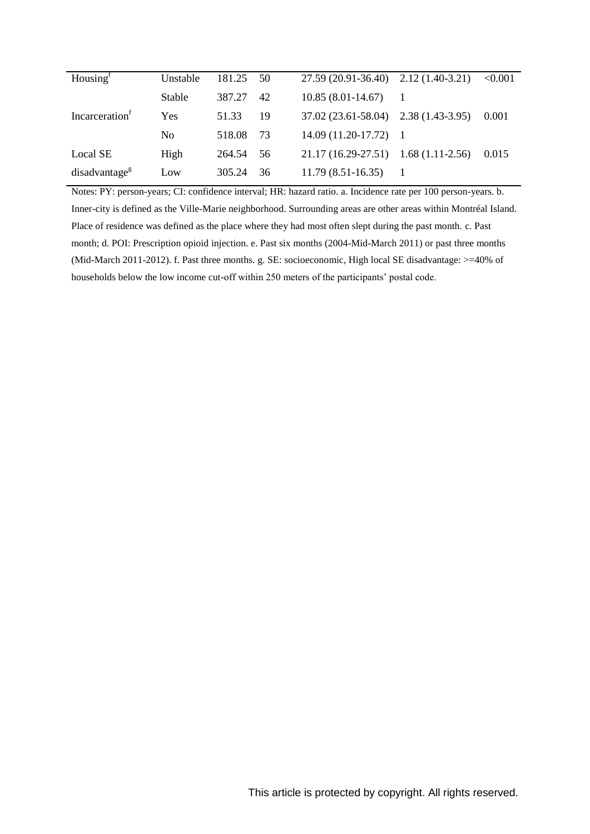| Housing $^{\rm r}$         | Unstable       | 181.25 | - 50 | $27.59(20.91-36.40)$ $2.12(1.40-3.21)$ | < 0.001 |
|----------------------------|----------------|--------|------|----------------------------------------|---------|
|                            | Stable         | 387.27 | 42   | $10.85(8.01-14.67)$ 1                  |         |
| Incarceration <sup>†</sup> | <b>Yes</b>     | 51.33  | -19  | $37.02(23.61-58.04)$ $2.38(1.43-3.95)$ | 0.001   |
|                            | N <sub>0</sub> | 518.08 | 73   | $14.09(11.20-17.72)$ 1                 |         |
| Local SE                   | High           | 264.54 | - 56 | $21.17(16.29-27.51)$ $1.68(1.11-2.56)$ | 0.015   |
| disadvantage <sup>g</sup>  | Low            | 305.24 | -36  | $11.79(8.51-16.35)$                    |         |

Notes: PY: person-years; CI: confidence interval; HR: hazard ratio. a. Incidence rate per 100 person-years. b. Inner-city is defined as the Ville-Marie neighborhood. Surrounding areas are other areas within Montréal Island. Place of residence was defined as the place where they had most often slept during the past month. c. Past month; d. POI: Prescription opioid injection. e. Past six months (2004-Mid-March 2011) or past three months (Mid-March 2011-2012). f. Past three months. g. SE: socioeconomic, High local SE disadvantage: >=40% of households below the low income cut-off within 250 meters of the participants' postal code.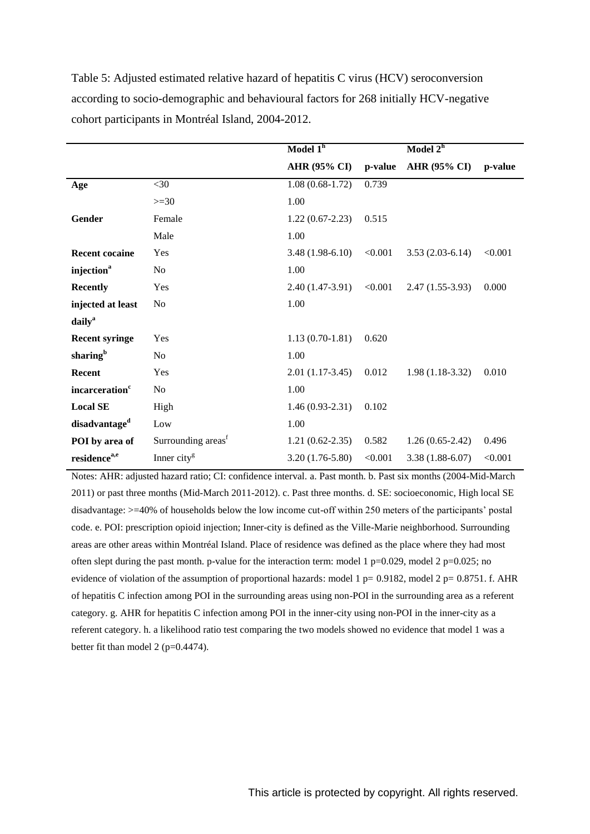Table 5: Adjusted estimated relative hazard of hepatitis C virus (HCV) seroconversion according to socio-demographic and behavioural factors for 268 initially HCV-negative cohort participants in Montréal Island, 2004-2012.

|                            |                                | Model $1h$          |         | Model $2h$          |         |
|----------------------------|--------------------------------|---------------------|---------|---------------------|---------|
|                            |                                | <b>AHR (95% CI)</b> | p-value | <b>AHR (95% CI)</b> | p-value |
| Age                        | $<$ 30                         | $1.08(0.68-1.72)$   | 0.739   |                     |         |
|                            | $>=30$                         | 1.00                |         |                     |         |
| Gender                     | Female                         | $1.22(0.67-2.23)$   | 0.515   |                     |         |
|                            | Male                           | 1.00                |         |                     |         |
| <b>Recent cocaine</b>      | Yes                            | $3.48(1.98-6.10)$   | < 0.001 | $3.53(2.03-6.14)$   | < 0.001 |
| injection <sup>a</sup>     | No                             | 1.00                |         |                     |         |
| <b>Recently</b>            | Yes                            | $2.40(1.47-3.91)$   | < 0.001 | $2.47(1.55-3.93)$   | 0.000   |
| injected at least          | No                             | 1.00                |         |                     |         |
| daily <sup>a</sup>         |                                |                     |         |                     |         |
| <b>Recent syringe</b>      | Yes                            | $1.13(0.70-1.81)$   | 0.620   |                     |         |
| sharing <sup>b</sup>       | No                             | 1.00                |         |                     |         |
| Recent                     | Yes                            | $2.01(1.17-3.45)$   | 0.012   | $1.98(1.18-3.32)$   | 0.010   |
| incarceration <sup>c</sup> | No                             | 1.00                |         |                     |         |
| <b>Local SE</b>            | High                           | $1.46(0.93-2.31)$   | 0.102   |                     |         |
| disadvantage <sup>d</sup>  | Low                            | 1.00                |         |                     |         |
| POI by area of             | Surrounding areas <sup>f</sup> | $1.21(0.62 - 2.35)$ | 0.582   | $1.26(0.65-2.42)$   | 0.496   |
| residence <sup>a,e</sup>   | Inner city <sup>g</sup>        | $3.20(1.76-5.80)$   | < 0.001 | $3.38(1.88-6.07)$   | < 0.001 |

Notes: AHR: adjusted hazard ratio; CI: confidence interval. a. Past month. b. Past six months (2004-Mid-March 2011) or past three months (Mid-March 2011-2012). c. Past three months. d. SE: socioeconomic, High local SE disadvantage: >=40% of households below the low income cut-off within 250 meters of the participants' postal code. e. POI: prescription opioid injection; Inner-city is defined as the Ville-Marie neighborhood. Surrounding areas are other areas within Montréal Island. Place of residence was defined as the place where they had most often slept during the past month. p-value for the interaction term: model 1 p=0.029, model 2 p=0.025; no evidence of violation of the assumption of proportional hazards: model 1 p= 0.9182, model 2 p= 0.8751. f. AHR of hepatitis C infection among POI in the surrounding areas using non-POI in the surrounding area as a referent category. g. AHR for hepatitis C infection among POI in the inner-city using non-POI in the inner-city as a referent category. h. a likelihood ratio test comparing the two models showed no evidence that model 1 was a better fit than model 2 (p=0.4474).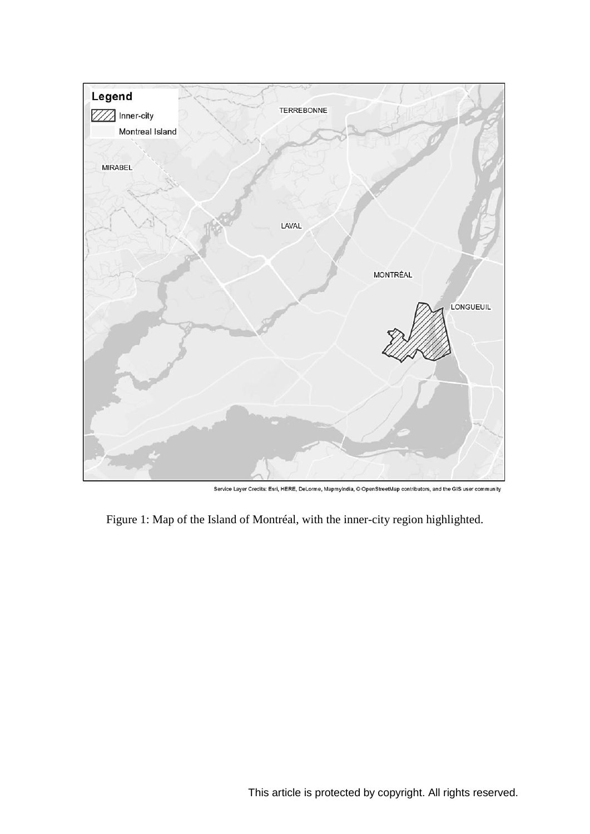

Service Layer Credits: Esri, HERE, DeLorme, MapmyIndia, @ OpenStreetMap contributors, and the GIS user community

Figure 1: Map of the Island of Montréal, with the inner-city region highlighted.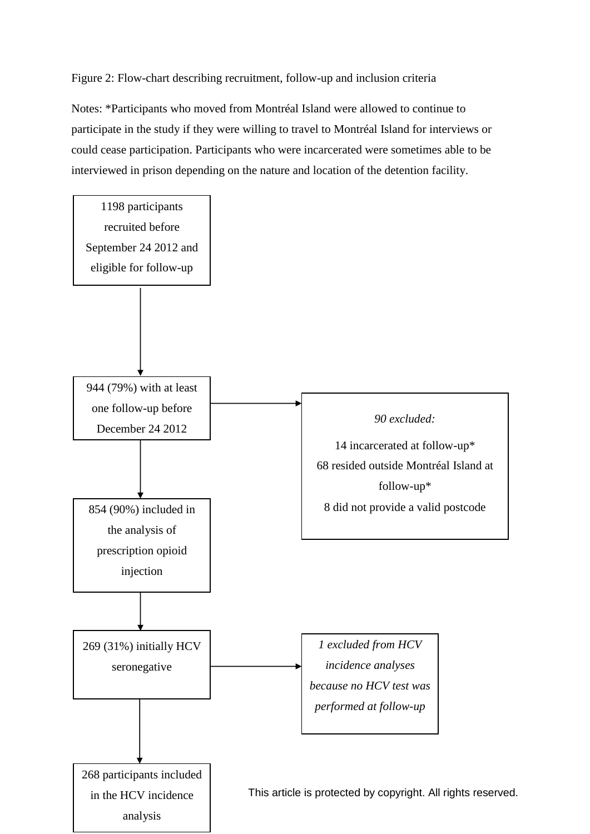Figure 2: Flow-chart describing recruitment, follow-up and inclusion criteria

Notes: \*Participants who moved from Montréal Island were allowed to continue to participate in the study if they were willing to travel to Montréal Island for interviews or could cease participation. Participants who were incarcerated were sometimes able to be interviewed in prison depending on the nature and location of the detention facility.